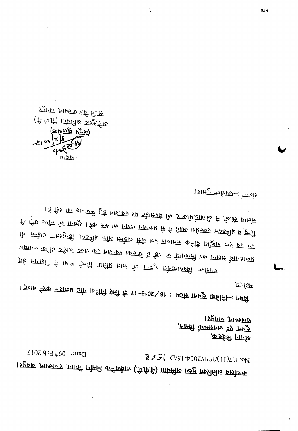*L* **lOG qd.::I 4160 :dlBG ~ ')** *S'l-GlS'I-vIOZldddlCI I)L:d* **.ON** I~j;I>l!l .~ ·1'J1.~ **Injftl<l <P1;:jl!l}'11lI** ("~P:lJ>:~ ~ Pl!ij~12 **1>"'11>1<11**

**f}'hDJ+) '~** *पू*चना एवं जनसम्पर्क विमाग, , काष्ट्र हिनि जिमिलि,

,ppfar शिवय, -- निविदा सुचना : 18/2016-17 के लि निविदा नौट प्रकाशन करने बाबत्।<br>इत्रिय,

I <sup>i</sup> of the set of the set of the set of the lattice of the control of the control of the control of the control of the control of the control of the control of the control of the control of the control of the control of l5t \!Jli <sup>~</sup> <sup>~</sup> J.8ill. <sup>I</sup>¥!? ~ *1!l> <sup>~</sup> HWP* K~ let <sup>~</sup> <sup>~</sup> ~fN>1t H??'~!; l!~ े कि 'एमड़ा5 मार्कोट डी .1155पिड़ राफि स्मैडा5 क्रिकि 'हम 'गांवासर कनिडि' प्रख्रिए कप्र 'रंप हम tlt%J± <sup>~</sup> %J!1 @Q .Ydt )'ltl<PK 1!1!f'10 ~ 1J!<- Jl<; jJll/;>~J;g *MQ* j"J.>.1± ¥I~IM<I>K  $\bar{p}$ ई FPIड़ियी में 1711 किडी 1001र EIB कि 1755 Eरिफ्लाइप्रवी क्लिप्रिएछ

1 प्राप्तमान्नारमछ- मन्फल

(frift) Interfits Beef filts (अक्षित पुलर्शक)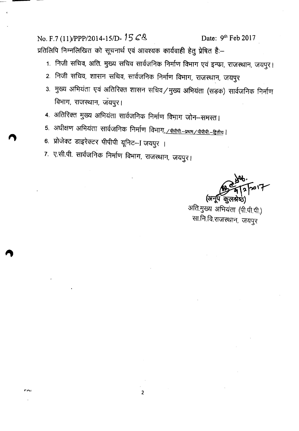No. F.7 (11)/PPP/2014-15/D- 15 C & Date: 9<sup>th</sup> Feb 2017 प्रतिलिपि निम्नलिखित को सूचनार्थ एवं आवश्यक कार्यवाही हेतु प्रेषित है:-

- 1. निजी सचिव, अति. मुख्य सचिव सार्वजनिक निर्माण विभाग एवं इन्फ्रा, राजस्थान, जयपुर।
- 2. निजी सचिव, शासन सचिव, सार्वजनिक निर्माण विभाग, राजस्थान, जयपुर
- 3. मुख्य अभियंता एवं अतिरिक्त शासन सचिव/मुख्य अभियंता (सड़क) सार्वजनिक निर्माण विभाग, राजस्थान, जयपुर।
- 4. अतिरिक्त मुख्य अभियंता सार्वजनिक निर्माण विभाग जोन–समस्त।
- 5. अधीक्षण अभियंता सार्वजनिक निर्माण विभाग<u>, / क्रेकेणे --प्रथम / पीपीपी --द्वितीय</u> |

2

6. प्रोजेक्ट डाइरेक्टर पीपीपी यूनिट-I जयपुर ।

...,,,

7. ए.सी.पी. सार्वजनिक निर्माण विभाग, राजस्थान, जयपुर।

7'0م (अर्नूप कुल

अति.मुख्य अभियंता (पी.पी.पी.) सा.नि.वि.राजस्थान, जयपुर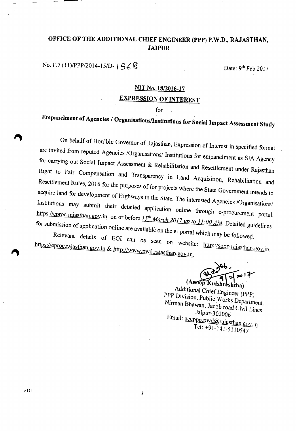#### **OFFICE OF THE ADDITIONAL CHIEF ENGINEER (PPP) P.W.D., RAJASTHAN, JAIPUR**

**No. F.7** (11)/PPP/2014-15/D-  $\vert 56\%$ 

### **NIT No. 18/2016-17 EXPRESSION OF INTEREST**

**for**

# **Empanelment of Agencies / Organisations/lnstitutions for Social Impact Assessment Study**

**On behalf of Hon'ble Governor of Rajasthan, Expression of Interest in specified format are invited from reputed Agencies /Organisations/ Institutions for empanelment as SIA Agency for carrying out Social Impact Assessment & Rehabilitation and Resettlement under Rajasthan Right to Fair Compensation and Transparency in Land Acquisition, Rehabilitation and** Resettlement Rules, 2016 for the purposes of for projects where the State Government intends to acquire land for development of Highways in the State. The interested Agencies *IOrganisations!* Institutions may submit their detailed application online through e-procurement portal https://eproc.rajasthan.gov.in on or before 15<sup>th</sup> March 2017 up to 11:00 AM. Detailed guidelines for submission of application online are available on the e- portal which may be followed.

Relevant details of EOI can be seen on website: http://sppp.rajasthan.gov.in. **https://eproc.rajasthan.gov.in & http://WWW.pwd.rajasthan.gov.in.**

ulshreshtha) **(A** op **uJshr shtha)**

A~d~t~onal**Chief Engineer** *(PPP) P~P* **DIVIsIOn,***Public* Works **Department,** Nirman **Bhawan, Jacob road Civil Lines'** *Jaipur- 302006* Email: <u>aceppp.pwd@rajasthan.gov.in</u> **Tel: +91-141-5110547**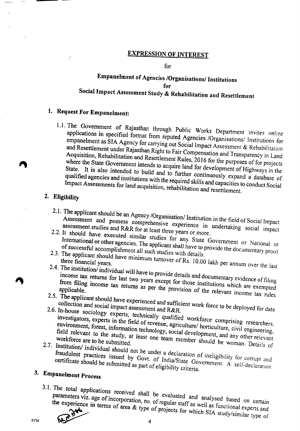#### **EXPRESSION OF INTEREST**

#### **for**

### **Empanelment of Agencies !Organisations! Institutions for Social Impact Assessment Study & Rehabilitation and Resettlement**

## **1. Request For Empanelment:**

 $\mathcal{L}$ 

1.1. The Government of Rajasthan through Public Works Department invites online applications in specified format from reputed Agencies /Organisations/ Institutions for **empanelment** as SIA Agency for carrying out Social Impact Assessment & Rehabilitation and Resettlement under Rajasthan Right to Fair Compensation and Transparency in Land Acquisition, Rehabilitation and Resettlement Rules, 2016 for the purposes of for projects **where the State Government intends to acquire land for development of Highways In the** State. It is also intended to build and to further continuously expand a database of **qualified agencies and institutions with the required skills and capacities to conduct Social Impact Assessments for land acquisition, rehabilitation and resettlement.**

#### **2. Eligibility**

- 2.1. The applicant should be an Agency / Organisation/ Institution in the field of Social Impact Assessment and possess comprehensive experience in undertaking social impact
- **assessment studies and R&R for at least three years or more.** assessment studies and R&R for at least three years or more.<br>2.2. It should have executed similar studies for any State Government or National or of successful accomplists. The applicant shall have to provide the documentary *problems* of
- **of SUccessful accomplishment all such studies with details.** of successful accomplishment all such studies with details.<br>2.3. The applicant should have minimum turnover of Rs. 10.00 lakh per annum over the last
- 2.4. The institution/ individual will have to provide details and documentary evidence of filing income tax returns for last two years except for those institutions which are exempted from filing income tax returns as per the provision of the relevant income tax rules
- *2.5.* The applicant should have experienced and sufficient work force to be deployed for data **collection and social impact assessment and R&R.**
- investigators, experts, technically qualified workforce comprising researchers. environment, forest information to revenue, agriculture/horticulture, civil engineers. investigators, experts in the field of revenue, agriculture/ horticulture, civil engineering,<br>environment, forest, information technology, social development, and any other relevant field relevant to the study, at least one team member should be woman. Details of
- Institution in the should not be under a declaration of ineligibility of correct and correct and correct and correct and correct and correct and correct and correct and correct and correct and correct and correct and corre certificate should be submitted by GOVI. of India/State Government. A self-declaration of  $\frac{1}{2}$ fraudulent practices issued by Govt. of India/State Government. A self-declaration certificate should be submitted as part of eligibility criteria.

# **3. Empanelment Process**

parameters viz age of incomparable control and analysed based on certain parameters viz age of incomparable on c the experience in terms of  $s_{\text{max}}$  of  $\alpha$  of regular staff as well as functional on certain the experience in terms of area & type of projects for which SIA study/similar experts and



 $F(1)$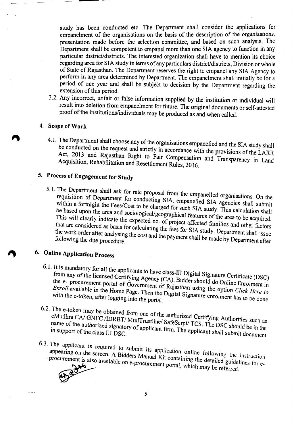study has been conducted etc. The Department shall consider the applications for empanelment of the organisations on the basis of the description of the organisations, presentation made before the selection committee, and based on such analysis. The Department shall be competent to empanel more than one SIA agency to function in any particular district/districts. The interested organization shall have to mention its choice regarding area for SIA study in terms of any particulars district/districts, Division or whole of State of Rajasthan. The Department reserves the right to empanel any SIA Agency to perform in any area determined by Department. The empanelment shall initially be for a period of one year and shall be subject to decision by the Department regarding the extension of this period.

3.2. Any incorrect, unfair or false information supplied by the institution or individual will result into deletion from empanelment for future. The original documents or self-attested proof of the institutions/individuals may be produced as and when called.

#### 4. Scope of Work

4.1. The Department shall choose any of the organisations empanelled and the SIA study shall be conducted on the request and strictly in accordance with the provisions of the LARR Act, 2013 and Rajasthan Right to Fair Compensation and Transparency in Land Acquisition, Rehabilitation and Resettlement Rules, 20] 6.

### 5. Process of Engagement for Study

5.1. The Department shall ask for rate proposal from the empanelled organisations. On the requisition of Department for conducting SIA, empanelled SIA agencies shall submit within a fortnight the Fees/Cost to be charged for such SIA study. This calculation shall be based upon the area and sociological/geographical features of the area to be acquired. This will clearly indicate the expected no. of project affected families and other factors that are considered as basis for calculating the fees for SIA study. Department shall issue following the due procedure.<br>following the due procedure.

# 6. Online Application Process

- 6.1. It is mandatory for all the applicants to have class-III Digital Signature Certificate (DSC) from any of the licensed Certifying Agency (CA). Bidder should do Online Enrolment in the e- procurement portal of Government of Rajasthan using the option *Click Here 10* with the e-token official  $\frac{1}{2}$  and  $\frac{1}{2}$  and  $\frac{1}{2}$  and  $\frac{1}{2}$  signature enrolment has to be done. with the e-token, after logging into the portal.
- 6.2. The e-token may be obtained from one of the authorized Certifying Authorities such as eMudhra CA/ GNFC /IDRBT/ MtnlTrustline/ SafeScrpt/ TCS. The DSC should be in the in support of the class III DSC.
- 6.3. The applicant is required to submit its application online following the instruction appearing on the screen. A Bidders Manual Kit containing the detailed guidelines for e-

procurement portal, which may be referred. curement is also

 $\sim$   $\sim$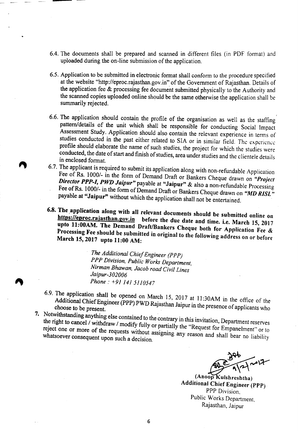- 6.4. The documents shall be prepared and scanned in different files (in PDF format) and uploaded during the on-line submission of the application.
- 6.5. Application to be submitted in electronic format shall conform to the procedure specified at the website "http://eproc.rajasthan.gov.in" of the Government of Rajasthan. Details of the application fee  $&$  processing fee document submitted physically to the Authority and the scanned copies uploaded online should be the same otherwise the application shall he summarily rejected.
- 6.6. The application should contain the profile of the organisation as well as the staffing pattern/details of the unit which shall be responsible for conducting Social Impact Assessment Study. Application should also contain the relevant experience in terms of studies conducted in the past either related to SIA or in similar field. The experience profile should elaborate the name of such studies, the project for which the studies were conducted, the date of start and finish of studies, area under studies and the clientele details in enclosed format.
- 6.7. The applicant is required to submit its application along with non-refundable Application Fee of Rs. 1000/- in the form of Demand Draft or Bankers Cheque drawn on *"Project Director PPP-I, PWD Jalpur"* payable at "Jaipur" & also a non-refundable Processing Fee of Rs. 1000/- in the form of Demand Draft or Bankers Cheque drawn on "MD RISL" payable at "Jaipur" without which the application shall not be entertained.
- 6.8. The ,application along with all relevant documents should be submitted online on https://eproc.rajasthan.gov.in before the due date and time. i.e. March 15, 2017 upto 11:00AM. The Demand Draft/Bankers Cheque both for Application Fee & Processing Fee should be submitted in original to the following address on or before March 15,2017 upto 11:00 AM:

*The Additional Chief Engineer (PPP) PPP Division, Public Works Department, Nirman Bhawan, Jacob road Civil Lines Jaipur-302006 Phone:* +91 141 *5110547*

- 6.9. The application shall be opened on March 15, 2017 at II :30AM in the office of the Additional Chief Engineer (PPP) PWD Rajasthan Jaipur in the presence of applicants who choose to be present.
- 7. Notwithstanding anything else contained to the contrary in this invitation, Department reserves the right to cancel / withdraw / modify fully or partially the "Request for Empanelment" or to reject one or more of the requests without assigning any reason and shall bear no liability whatsoever consequent upon such a decision.

 $(Anoop Kulshreshtha)$ Additional Chief Engineer (PPP) PPP Division, Public Works Department, Rajasthan, Jaipur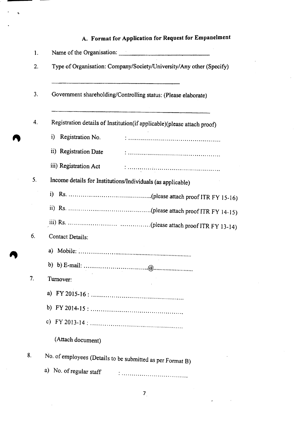## A. Format for Application for Request for Empanelment

 $\epsilon$ 

| 1. |                                                                                                                                        |  |  |  |  |  |
|----|----------------------------------------------------------------------------------------------------------------------------------------|--|--|--|--|--|
| 2. | Type of Organisation: Company/Society/University/Any other (Specify)<br>Government shareholding/Controlling status: (Please elaborate) |  |  |  |  |  |
| 3. |                                                                                                                                        |  |  |  |  |  |
| 4. | Registration details of Institution(if applicable)(please attach proof)                                                                |  |  |  |  |  |
|    | Registration No.<br>i)                                                                                                                 |  |  |  |  |  |
|    | ii) Registration Date                                                                                                                  |  |  |  |  |  |
|    | iii) Registration Act                                                                                                                  |  |  |  |  |  |
| 5. | Income details for Institutions/Individuals (as applicable)                                                                            |  |  |  |  |  |
|    |                                                                                                                                        |  |  |  |  |  |
|    |                                                                                                                                        |  |  |  |  |  |
|    |                                                                                                                                        |  |  |  |  |  |
| 6. | Contact Details:                                                                                                                       |  |  |  |  |  |
|    |                                                                                                                                        |  |  |  |  |  |
|    |                                                                                                                                        |  |  |  |  |  |
| 7. | Turnover:                                                                                                                              |  |  |  |  |  |
|    |                                                                                                                                        |  |  |  |  |  |
|    |                                                                                                                                        |  |  |  |  |  |
|    |                                                                                                                                        |  |  |  |  |  |
|    | (Attach document)                                                                                                                      |  |  |  |  |  |
| 8. | No. of employees (Details to be submitted as per Format B)                                                                             |  |  |  |  |  |
|    | a) No. of regular staff                                                                                                                |  |  |  |  |  |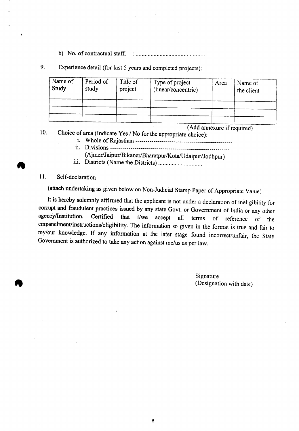b) No. of contractual staff. **. .**

9. Experience detail (for last 5 years and completed projects):

| Name of<br>Study | Period of<br>study | Title of<br>project | Type of project<br>(linear/concentric) | Area | Name of<br>the client |
|------------------|--------------------|---------------------|----------------------------------------|------|-----------------------|
|                  |                    |                     |                                        |      |                       |
|                  |                    |                     |                                        |      |                       |
|                  |                    |                     |                                        |      |                       |
|                  |                    |                     | $AA$ <sub>d</sub> $A$                  |      |                       |

\_ (Add annexure if required)

10. Choice of area (Indicate Yes / No for the appropriate choice):

- 1. Whole of Rajasthan ------------------ \_ ii. I>ivisions------------------------- \_
	-
	- (Ajmer/Jaipur/Bikaner/Bharatpur/Kota/Udaipur/Jodhpur)
- Ill. I>istricts(Name the I>istricts) ..

#### 11. Self-declaration

(attach undertaking as given below on Non-Judicial Stamp Paper of Appropriate Value)

It is hereby solemnly affirmed that the applicant is not under a declaration of ineligibility for corrupt and fraudulent practices issued by any state Govt. or Government of India or any other agencylInstitution. Certified that *I1we* accept all terms of reference of the empanelment/instructions/eligibility. The information so given in the format is true and fair to my/our knowledge. If any information at the later stage found incorrect/unfair, the State Government is authorized to take any action against me/us as per law.

> Signature (Designation with date)